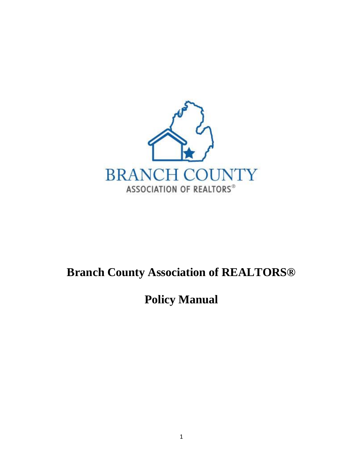

# **Branch County Association of REALTORS®**

**Policy Manual**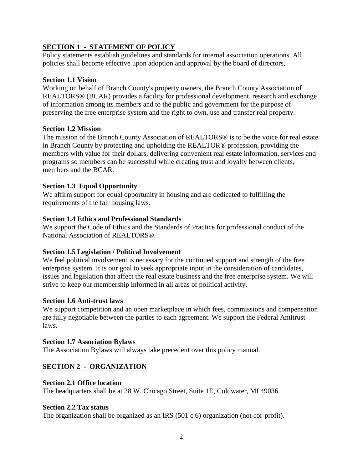# **SECTION 1 - STATEMENT OF POLICY**

Policy statements establish guidelines and standards for internal association operations. All policies shall become effective upon adoption and approval by the board of directors.

## **Section 1.1 Vision**

Working on behalf of Branch County's property owners, the Branch County Association of REALTORS® (BCAR) provides a facility for professional development, research and exchange of information among its members and to the public and government for the purpose of preserving the free enterprise system and the right to own, use and transfer real property.

#### **Section 1.2 Mission**

The mission of the Branch County Association of REALTORS® is to be the voice for real estate in Branch County by protecting and upholding the REALTOR® profession, providing the members with value for their dollars, delivering convenient real estate information, services and programs so members can be successful while creating trust and loyalty between clients, members and the BCAR.

## **Section 1.3 Equal Opportunity**

We affirm support for equal opportunity in housing and are dedicated to fulfilling the requirements of the fair housing laws.

## **Section 1.4 Ethics and Professional Standards**

We support the Code of Ethics and the Standards of Practice for professional conduct of the National Association of REALTORS®.

#### **Section 1.5 Legislation / Political Involvement**

We feel political involvement is necessary for the continued support and strength of the free enterprise system. It is our goal to seek appropriate input in the consideration of candidates, issues and legislation that affect the real estate business and the free enterprise system. We will strive to keep our membership informed in all areas of political activity.

#### **Section 1.6 Anti-trust laws**

We support competition and an open marketplace in which fees, commissions and compensation are fully negotiable between the parties to each agreement. We support the Federal Antitrust laws.

#### **Section 1.7 Association Bylaws**

The Association Bylaws will always take precedent over this policy manual.

# **SECTION 2 - ORGANIZATION**

#### **Section 2.1 Office location**

The headquarters shall be at 28 W. Chicago Street, Suite 1E, Coldwater, MI 49036.

#### **Section 2.2 Tax status**

The organization shall be organized as an IRS (501 c 6) organization (not-for-profit).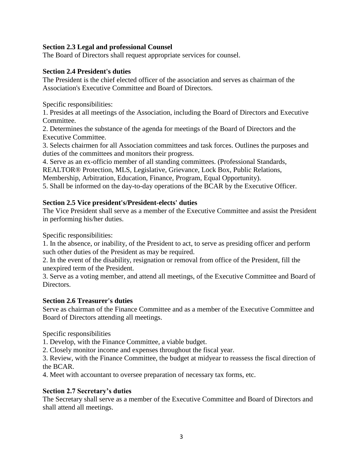## **Section 2.3 Legal and professional Counsel**

The Board of Directors shall request appropriate services for counsel.

#### **Section 2.4 President's duties**

The President is the chief elected officer of the association and serves as chairman of the Association's Executive Committee and Board of Directors.

Specific responsibilities:

1. Presides at all meetings of the Association, including the Board of Directors and Executive Committee.

2. Determines the substance of the agenda for meetings of the Board of Directors and the Executive Committee.

3. Selects chairmen for all Association committees and task forces. Outlines the purposes and duties of the committees and monitors their progress.

4. Serve as an ex-officio member of all standing committees. (Professional Standards,

REALTOR® Protection, MLS, Legislative, Grievance, Lock Box, Public Relations,

Membership, Arbitration, Education, Finance, Program, Equal Opportunity).

5. Shall be informed on the day-to-day operations of the BCAR by the Executive Officer.

#### **Section 2.5 Vice president's/President-elects' duties**

The Vice President shall serve as a member of the Executive Committee and assist the President in performing his/her duties.

Specific responsibilities:

1. In the absence, or inability, of the President to act, to serve as presiding officer and perform such other duties of the President as may be required.

2. In the event of the disability, resignation or removal from office of the President, fill the unexpired term of the President.

3. Serve as a voting member, and attend all meetings, of the Executive Committee and Board of Directors.

#### **Section 2.6 Treasurer's duties**

Serve as chairman of the Finance Committee and as a member of the Executive Committee and Board of Directors attending all meetings.

Specific responsibilities

1. Develop, with the Finance Committee, a viable budget.

2. Closely monitor income and expenses throughout the fiscal year.

3. Review, with the Finance Committee, the budget at midyear to reassess the fiscal direction of the BCAR.

4. Meet with accountant to oversee preparation of necessary tax forms, etc.

#### **Section 2.7 Secretary's duties**

The Secretary shall serve as a member of the Executive Committee and Board of Directors and shall attend all meetings.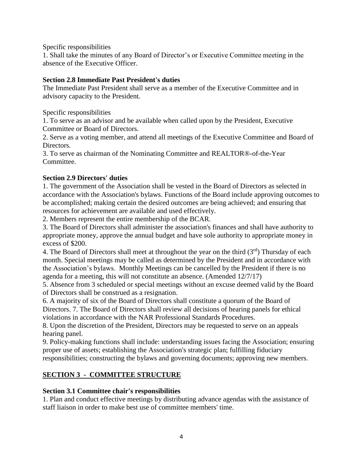Specific responsibilities

1. Shall take the minutes of any Board of Director's or Executive Committee meeting in the absence of the Executive Officer.

# **Section 2.8 Immediate Past President's duties**

The Immediate Past President shall serve as a member of the Executive Committee and in advisory capacity to the President.

Specific responsibilities

1. To serve as an advisor and be available when called upon by the President, Executive Committee or Board of Directors.

2. Serve as a voting member, and attend all meetings of the Executive Committee and Board of Directors.

3. To serve as chairman of the Nominating Committee and REALTOR®-of-the-Year Committee.

# **Section 2.9 Directors' duties**

1. The government of the Association shall be vested in the Board of Directors as selected in accordance with the Association's bylaws. Functions of the Board include approving outcomes to be accomplished; making certain the desired outcomes are being achieved; and ensuring that resources for achievement are available and used effectively.

2. Members represent the entire membership of the BCAR.

3. The Board of Directors shall administer the association's finances and shall have authority to appropriate money, approve the annual budget and have sole authority to appropriate money in excess of \$200.

4. The Board of Directors shall meet at throughout the year on the third  $(3<sup>rd</sup>)$  Thursday of each month. Special meetings may be called as determined by the President and in accordance with the Association's bylaws. Monthly Meetings can be cancelled by the President if there is no agenda for a meeting, this will not constitute an absence. (Amended 12/7/17)

5. Absence from 3 scheduled or special meetings without an excuse deemed valid by the Board of Directors shall be construed as a resignation.

6. A majority of six of the Board of Directors shall constitute a quorum of the Board of Directors. 7. The Board of Directors shall review all decisions of hearing panels for ethical violations in accordance with the NAR Professional Standards Procedures.

8. Upon the discretion of the President, Directors may be requested to serve on an appeals hearing panel.

9. Policy-making functions shall include: understanding issues facing the Association; ensuring proper use of assets; establishing the Association's strategic plan; fulfilling fiduciary responsibilities; constructing the bylaws and governing documents; approving new members.

# **SECTION 3 - COMMITTEE STRUCTURE**

# **Section 3.1 Committee chair's responsibilities**

1. Plan and conduct effective meetings by distributing advance agendas with the assistance of staff liaison in order to make best use of committee members' time.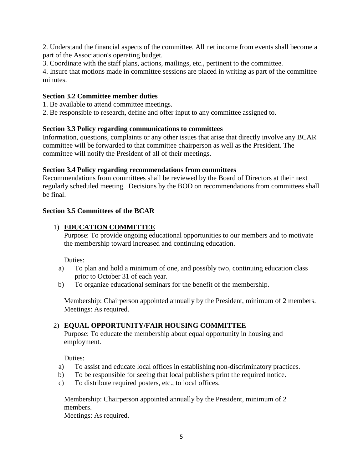2. Understand the financial aspects of the committee. All net income from events shall become a part of the Association's operating budget.

3. Coordinate with the staff plans, actions, mailings, etc., pertinent to the committee.

4. Insure that motions made in committee sessions are placed in writing as part of the committee minutes.

## **Section 3.2 Committee member duties**

- 1. Be available to attend committee meetings.
- 2. Be responsible to research, define and offer input to any committee assigned to.

## **Section 3.3 Policy regarding communications to committees**

Information, questions, complaints or any other issues that arise that directly involve any BCAR committee will be forwarded to that committee chairperson as well as the President. The committee will notify the President of all of their meetings.

## **Section 3.4 Policy regarding recommendations from committees**

Recommendations from committees shall be reviewed by the Board of Directors at their next regularly scheduled meeting. Decisions by the BOD on recommendations from committees shall be final.

## **Section 3.5 Committees of the BCAR**

## 1) **EDUCATION COMMITTEE**

Purpose: To provide ongoing educational opportunities to our members and to motivate the membership toward increased and continuing education.

Duties:

- a) To plan and hold a minimum of one, and possibly two, continuing education class prior to October 31 of each year.
- b) To organize educational seminars for the benefit of the membership.

Membership: Chairperson appointed annually by the President, minimum of 2 members. Meetings: As required.

# 2) **EQUAL OPPORTUNITY/FAIR HOUSING COMMITTEE**

Purpose: To educate the membership about equal opportunity in housing and employment.

Duties:

- a) To assist and educate local offices in establishing non-discriminatory practices.
- b) To be responsible for seeing that local publishers print the required notice.
- c) To distribute required posters, etc., to local offices.

Membership: Chairperson appointed annually by the President, minimum of 2 members.

Meetings: As required.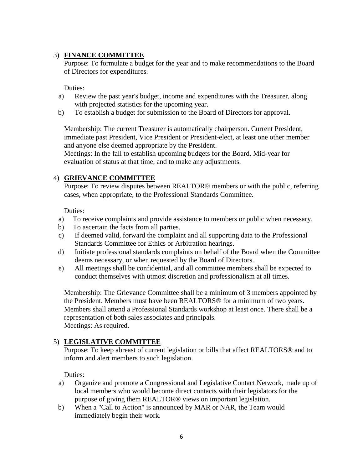# 3) **FINANCE COMMITTEE**

Purpose: To formulate a budget for the year and to make recommendations to the Board of Directors for expenditures.

Duties:

- a) Review the past year's budget, income and expenditures with the Treasurer, along with projected statistics for the upcoming year.
- b) To establish a budget for submission to the Board of Directors for approval.

Membership: The current Treasurer is automatically chairperson. Current President, immediate past President, Vice President or President-elect, at least one other member and anyone else deemed appropriate by the President.

Meetings: In the fall to establish upcoming budgets for the Board. Mid-year for evaluation of status at that time, and to make any adjustments.

# 4) **GRIEVANCE COMMITTEE**

Purpose: To review disputes between REALTOR® members or with the public, referring cases, when appropriate, to the Professional Standards Committee.

Duties:

- a) To receive complaints and provide assistance to members or public when necessary.
- b) To ascertain the facts from all parties.
- c) If deemed valid, forward the complaint and all supporting data to the Professional Standards Committee for Ethics or Arbitration hearings.
- d) Initiate professional standards complaints on behalf of the Board when the Committee deems necessary, or when requested by the Board of Directors.
- e) All meetings shall be confidential, and all committee members shall be expected to conduct themselves with utmost discretion and professionalism at all times.

Membership: The Grievance Committee shall be a minimum of 3 members appointed by the President. Members must have been REALTORS® for a minimum of two years. Members shall attend a Professional Standards workshop at least once. There shall be a representation of both sales associates and principals. Meetings: As required.

# 5) **LEGISLATIVE COMMITTEE**

Purpose: To keep abreast of current legislation or bills that affect REALTORS® and to inform and alert members to such legislation.

- a) Organize and promote a Congressional and Legislative Contact Network, made up of local members who would become direct contacts with their legislators for the purpose of giving them REALTOR® views on important legislation.
- b) When a "Call to Action" is announced by MAR or NAR, the Team would immediately begin their work.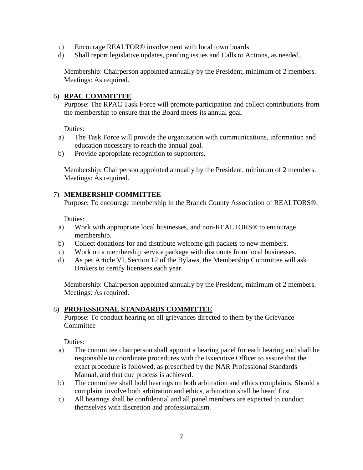- c) Encourage REALTOR® involvement with local town boards.
- d) Shall report legislative updates, pending issues and Calls to Actions, as needed.

Membership: Chairperson appointed annually by the President, minimum of 2 members. Meetings: As required.

## 6) **RPAC COMMITTEE**

Purpose: The RPAC Task Force will promote participation and collect contributions from the membership to ensure that the Board meets its annual goal.

Duties:

- a) The Task Force will provide the organization with communications, information and education necessary to reach the annual goal.
- b) Provide appropriate recognition to supporters.

Membership: Chairperson appointed annually by the President, minimum of 2 members. Meetings: As required.

# 7) **MEMBERSHIP COMMITTEE**

Purpose: To encourage membership in the Branch County Association of REALTORS®.

Duties:

- a) Work with appropriate local businesses, and non-REALTORS® to encourage membership.
- b) Collect donations for and distribute welcome gift packets to new members.
- c) Work on a membership service package with discounts from local businesses.
- d) As per Article VI, Section 12 of the Bylaws, the Membership Committee will ask Brokers to certify licensees each year.

Membership: Chairperson appointed annually by the President, minimum of 2 members. Meetings: As required.

#### 8) **PROFESSIONAL STANDARDS COMMITTEE**

Purpose: To conduct hearing on all grievances directed to them by the Grievance **Committee** 

- a) The committee chairperson shall appoint a hearing panel for each hearing and shall be responsible to coordinate procedures with the Executive Officer to assure that the exact procedure is followed, as prescribed by the NAR Professional Standards Manual, and that due process is achieved.
- b) The committee shall hold hearings on both arbitration and ethics complaints. Should a complaint involve both arbitration and ethics, arbitration shall be heard first.
- c) All hearings shall be confidential and all panel members are expected to conduct themselves with discretion and professionalism.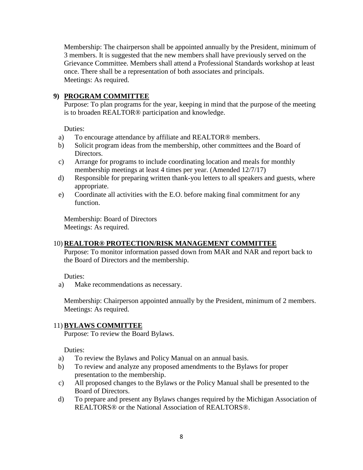Membership: The chairperson shall be appointed annually by the President, minimum of 3 members. It is suggested that the new members shall have previously served on the Grievance Committee. Members shall attend a Professional Standards workshop at least once. There shall be a representation of both associates and principals. Meetings: As required.

# **9) PROGRAM COMMITTEE**

Purpose: To plan programs for the year, keeping in mind that the purpose of the meeting is to broaden REALTOR® participation and knowledge.

Duties:

- a) To encourage attendance by affiliate and REALTOR® members.
- b) Solicit program ideas from the membership, other committees and the Board of Directors.
- c) Arrange for programs to include coordinating location and meals for monthly membership meetings at least 4 times per year. (Amended 12/7/17)
- d) Responsible for preparing written thank-you letters to all speakers and guests, where appropriate.
- e) Coordinate all activities with the E.O. before making final commitment for any function.

Membership: Board of Directors Meetings: As required.

#### 10) **REALTOR® PROTECTION/RISK MANAGEMENT COMMITTEE**

Purpose: To monitor information passed down from MAR and NAR and report back to the Board of Directors and the membership.

Duties:

a) Make recommendations as necessary.

Membership: Chairperson appointed annually by the President, minimum of 2 members. Meetings: As required.

#### 11)**BYLAWS COMMITTEE**

Purpose: To review the Board Bylaws.

- a) To review the Bylaws and Policy Manual on an annual basis.
- b) To review and analyze any proposed amendments to the Bylaws for proper presentation to the membership.
- c) All proposed changes to the Bylaws or the Policy Manual shall be presented to the Board of Directors.
- d) To prepare and present any Bylaws changes required by the Michigan Association of REALTORS® or the National Association of REALTORS®.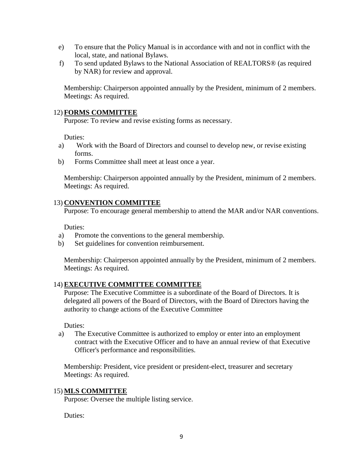- e) To ensure that the Policy Manual is in accordance with and not in conflict with the local, state, and national Bylaws.
- f) To send updated Bylaws to the National Association of REALTORS® (as required by NAR) for review and approval.

Membership: Chairperson appointed annually by the President, minimum of 2 members. Meetings: As required.

## 12) **FORMS COMMITTEE**

Purpose: To review and revise existing forms as necessary.

Duties:

- a) Work with the Board of Directors and counsel to develop new, or revise existing forms.
- b) Forms Committee shall meet at least once a year.

Membership: Chairperson appointed annually by the President, minimum of 2 members. Meetings: As required.

#### 13) **CONVENTION COMMITTEE**

Purpose: To encourage general membership to attend the MAR and/or NAR conventions.

Duties:

- a) Promote the conventions to the general membership.
- b) Set guidelines for convention reimbursement.

Membership: Chairperson appointed annually by the President, minimum of 2 members. Meetings: As required.

#### 14)**EXECUTIVE COMMITTEE COMMITTEE**

Purpose: The Executive Committee is a subordinate of the Board of Directors. It is delegated all powers of the Board of Directors, with the Board of Directors having the authority to change actions of the Executive Committee

Duties:

a) The Executive Committee is authorized to employ or enter into an employment contract with the Executive Officer and to have an annual review of that Executive Officer's performance and responsibilities.

Membership: President, vice president or president-elect, treasurer and secretary Meetings: As required.

#### 15) **MLS COMMITTEE**

Purpose: Oversee the multiple listing service.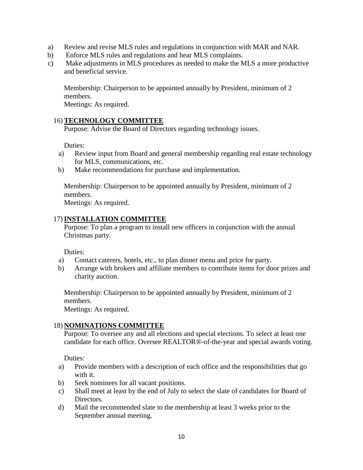- a) Review and revise MLS rules and regulations in conjunction with MAR and NAR.
- b) Enforce MLS rules and regulations and hear MLS complaints.
- c) Make adjustments in MLS procedures as needed to make the MLS a more productive and beneficial service.

Membership: Chairperson to be appointed annually by President, minimum of 2 members. Meetings: As required.

16)**TECHNOLOGY COMMITTEE**

Purpose: Advise the Board of Directors regarding technology issues.

Duties:

- a) Review input from Board and general membership regarding real estate technology for MLS, communications, etc.
- b) Make recommendations for purchase and implementation.

Membership: Chairperson to be appointed annually by President, minimum of 2 members.

Meetings: As required.

## 17)**INSTALLATION COMMITTEE**

Purpose: To plan a program to install new officers in conjunction with the annual Christmas party.

Duties:

- a) Contact caterers, hotels, etc., to plan dinner menu and price for party.
- b) Arrange with brokers and affiliate members to contribute items for door prizes and charity auction.

Membership: Chairperson to be appointed annually by President, minimum of 2 members.

Meetings: As required.

# 18) **NOMINATIONS COMMITTEE**

Purpose: To oversee any and all elections and special elections. To select at least one candidate for each office. Oversee REALTOR®-of-the-year and special awards voting.

- a) Provide members with a description of each office and the responsibilities that go with it.
- b) Seek nominees for all vacant positions.
- c) Shall meet at least by the end of July to select the slate of candidates for Board of Directors.
- d) Mail the recommended slate to the membership at least 3 weeks prior to the September annual meeting.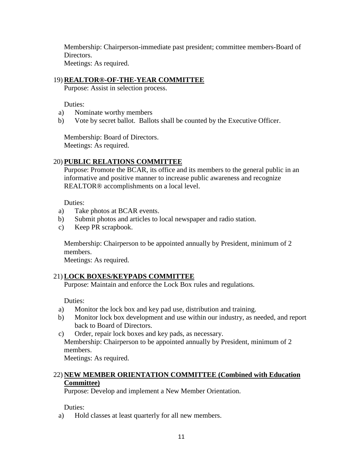Membership: Chairperson-immediate past president; committee members-Board of Directors.

Meetings: As required.

## 19) **REALTOR®-OF-THE-YEAR COMMITTEE**

Purpose: Assist in selection process.

Duties:

- a) Nominate worthy members
- b) Vote by secret ballot. Ballots shall be counted by the Executive Officer.

Membership: Board of Directors. Meetings: As required.

## 20) **PUBLIC RELATIONS COMMITTEE**

Purpose: Promote the BCAR, its office and its members to the general public in an informative and positive manner to increase public awareness and recognize REALTOR® accomplishments on a local level.

Duties:

- a) Take photos at BCAR events.
- b) Submit photos and articles to local newspaper and radio station.
- c) Keep PR scrapbook.

Membership: Chairperson to be appointed annually by President, minimum of 2 members.

Meetings: As required.

# 21)**LOCK BOXES/KEYPADS COMMITTEE**

Purpose: Maintain and enforce the Lock Box rules and regulations.

Duties:

- a) Monitor the lock box and key pad use, distribution and training.
- b) Monitor lock box development and use within our industry, as needed, and report back to Board of Directors.
- c) Order, repair lock boxes and key pads, as necessary. Membership: Chairperson to be appointed annually by President, minimum of 2 members.

Meetings: As required.

## 22) **NEW MEMBER ORIENTATION COMMITTEE (Combined with Education Committee)**

Purpose: Develop and implement a New Member Orientation.

Duties:

a) Hold classes at least quarterly for all new members.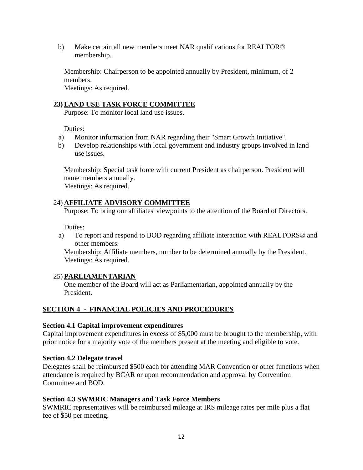b) Make certain all new members meet NAR qualifications for REALTOR® membership.

Membership: Chairperson to be appointed annually by President, minimum, of 2 members.

Meetings: As required.

# **23)LAND USE TASK FORCE COMMITTEE**

Purpose: To monitor local land use issues.

Duties:

- a) Monitor information from NAR regarding their "Smart Growth Initiative".
- b) Develop relationships with local government and industry groups involved in land use issues.

Membership: Special task force with current President as chairperson. President will name members annually.

Meetings: As required.

# 24) **AFFILIATE ADVISORY COMMITTEE**

Purpose: To bring our affiliates' viewpoints to the attention of the Board of Directors.

Duties:

a) To report and respond to BOD regarding affiliate interaction with REALTORS® and other members.

Membership: Affiliate members, number to be determined annually by the President. Meetings: As required.

# 25) **PARLIAMENTARIAN**

One member of the Board will act as Parliamentarian, appointed annually by the President.

# **SECTION 4 - FINANCIAL POLICIES AND PROCEDURES**

# **Section 4.1 Capital improvement expenditures**

Capital improvement expenditures in excess of \$5,000 must be brought to the membership, with prior notice for a majority vote of the members present at the meeting and eligible to vote.

# **Section 4.2 Delegate travel**

Delegates shall be reimbursed \$500 each for attending MAR Convention or other functions when attendance is required by BCAR or upon recommendation and approval by Convention Committee and BOD.

# **Section 4.3 SWMRIC Managers and Task Force Members**

SWMRIC representatives will be reimbursed mileage at IRS mileage rates per mile plus a flat fee of \$50 per meeting.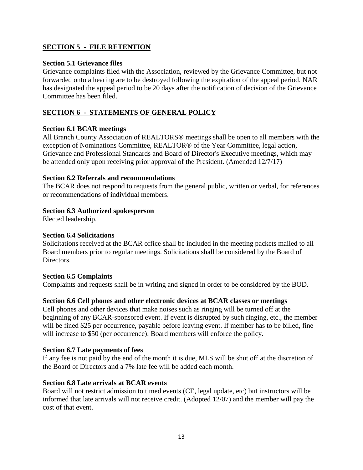# **SECTION 5 - FILE RETENTION**

## **Section 5.1 Grievance files**

Grievance complaints filed with the Association, reviewed by the Grievance Committee, but not forwarded onto a hearing are to be destroyed following the expiration of the appeal period. NAR has designated the appeal period to be 20 days after the notification of decision of the Grievance Committee has been filed.

# **SECTION 6 - STATEMENTS OF GENERAL POLICY**

## **Section 6.1 BCAR meetings**

All Branch County Association of REALTORS® meetings shall be open to all members with the exception of Nominations Committee, REALTOR® of the Year Committee, legal action, Grievance and Professional Standards and Board of Director's Executive meetings, which may be attended only upon receiving prior approval of the President. (Amended 12/7/17)

## **Section 6.2 Referrals and recommendations**

The BCAR does not respond to requests from the general public, written or verbal, for references or recommendations of individual members.

## **Section 6.3 Authorized spokesperson**

Elected leadership.

#### **Section 6.4 Solicitations**

Solicitations received at the BCAR office shall be included in the meeting packets mailed to all Board members prior to regular meetings. Solicitations shall be considered by the Board of Directors.

#### **Section 6.5 Complaints**

Complaints and requests shall be in writing and signed in order to be considered by the BOD.

# **Section 6.6 Cell phones and other electronic devices at BCAR classes or meetings**

Cell phones and other devices that make noises such as ringing will be turned off at the beginning of any BCAR-sponsored event. If event is disrupted by such ringing, etc., the member will be fined \$25 per occurrence, payable before leaving event. If member has to be billed, fine will increase to \$50 (per occurrence). Board members will enforce the policy.

#### **Section 6.7 Late payments of fees**

If any fee is not paid by the end of the month it is due, MLS will be shut off at the discretion of the Board of Directors and a 7% late fee will be added each month.

#### **Section 6.8 Late arrivals at BCAR events**

Board will not restrict admission to timed events (CE, legal update, etc) but instructors will be informed that late arrivals will not receive credit. (Adopted 12/07) and the member will pay the cost of that event.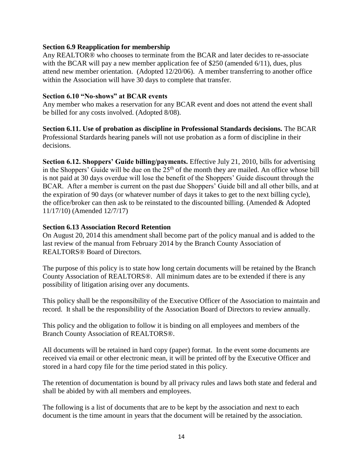#### **Section 6.9 Reapplication for membership**

Any REALTOR® who chooses to terminate from the BCAR and later decides to re-associate with the BCAR will pay a new member application fee of \$250 (amended 6/11), dues, plus attend new member orientation. (Adopted 12/20/06). A member transferring to another office within the Association will have 30 days to complete that transfer.

## **Section 6.10 "No-shows" at BCAR events**

Any member who makes a reservation for any BCAR event and does not attend the event shall be billed for any costs involved. (Adopted 8/08).

**Section 6.11. Use of probation as discipline in Professional Standards decisions.** The BCAR Professional Stardards hearing panels will not use probation as a form of discipline in their decisions.

**Section 6.12. Shoppers' Guide billing/payments.** Effective July 21, 2010, bills for advertising in the Shoppers' Guide will be due on the  $25<sup>th</sup>$  of the month they are mailed. An office whose bill is not paid at 30 days overdue will lose the benefit of the Shoppers' Guide discount through the BCAR. After a member is current on the past due Shoppers' Guide bill and all other bills, and at the expiration of 90 days (or whatever number of days it takes to get to the next billing cycle), the office/broker can then ask to be reinstated to the discounted billing. (Amended & Adopted 11/17/10) (Amended 12/7/17)

## **Section 6.13 Association Record Retention**

On August 20, 2014 this amendment shall become part of the policy manual and is added to the last review of the manual from February 2014 by the Branch County Association of REALTORS® Board of Directors.

The purpose of this policy is to state how long certain documents will be retained by the Branch County Association of REALTORS®. All minimum dates are to be extended if there is any possibility of litigation arising over any documents.

This policy shall be the responsibility of the Executive Officer of the Association to maintain and record. It shall be the responsibility of the Association Board of Directors to review annually.

This policy and the obligation to follow it is binding on all employees and members of the Branch County Association of REALTORS®.

All documents will be retained in hard copy (paper) format. In the event some documents are received via email or other electronic mean, it will be printed off by the Executive Officer and stored in a hard copy file for the time period stated in this policy.

The retention of documentation is bound by all privacy rules and laws both state and federal and shall be abided by with all members and employees.

The following is a list of documents that are to be kept by the association and next to each document is the time amount in years that the document will be retained by the association.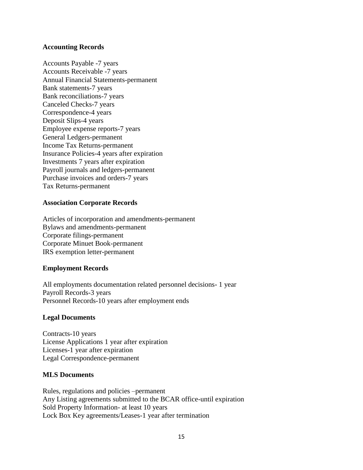#### **Accounting Records**

Accounts Payable -7 years Accounts Receivable -7 years Annual Financial Statements-permanent Bank statements-7 years Bank reconciliations-7 years Canceled Checks-7 years Correspondence-4 years Deposit Slips-4 years Employee expense reports-7 years General Ledgers-permanent Income Tax Returns-permanent Insurance Policies-4 years after expiration Investments 7 years after expiration Payroll journals and ledgers-permanent Purchase invoices and orders-7 years Tax Returns-permanent

#### **Association Corporate Records**

Articles of incorporation and amendments-permanent Bylaws and amendments-permanent Corporate filings-permanent Corporate Minuet Book-permanent IRS exemption letter-permanent

#### **Employment Records**

All employments documentation related personnel decisions- 1 year Payroll Records-3 years Personnel Records-10 years after employment ends

#### **Legal Documents**

Contracts-10 years License Applications 1 year after expiration Licenses-1 year after expiration Legal Correspondence-permanent

#### **MLS Documents**

Rules, regulations and policies –permanent Any Listing agreements submitted to the BCAR office-until expiration Sold Property Information- at least 10 years Lock Box Key agreements/Leases-1 year after termination